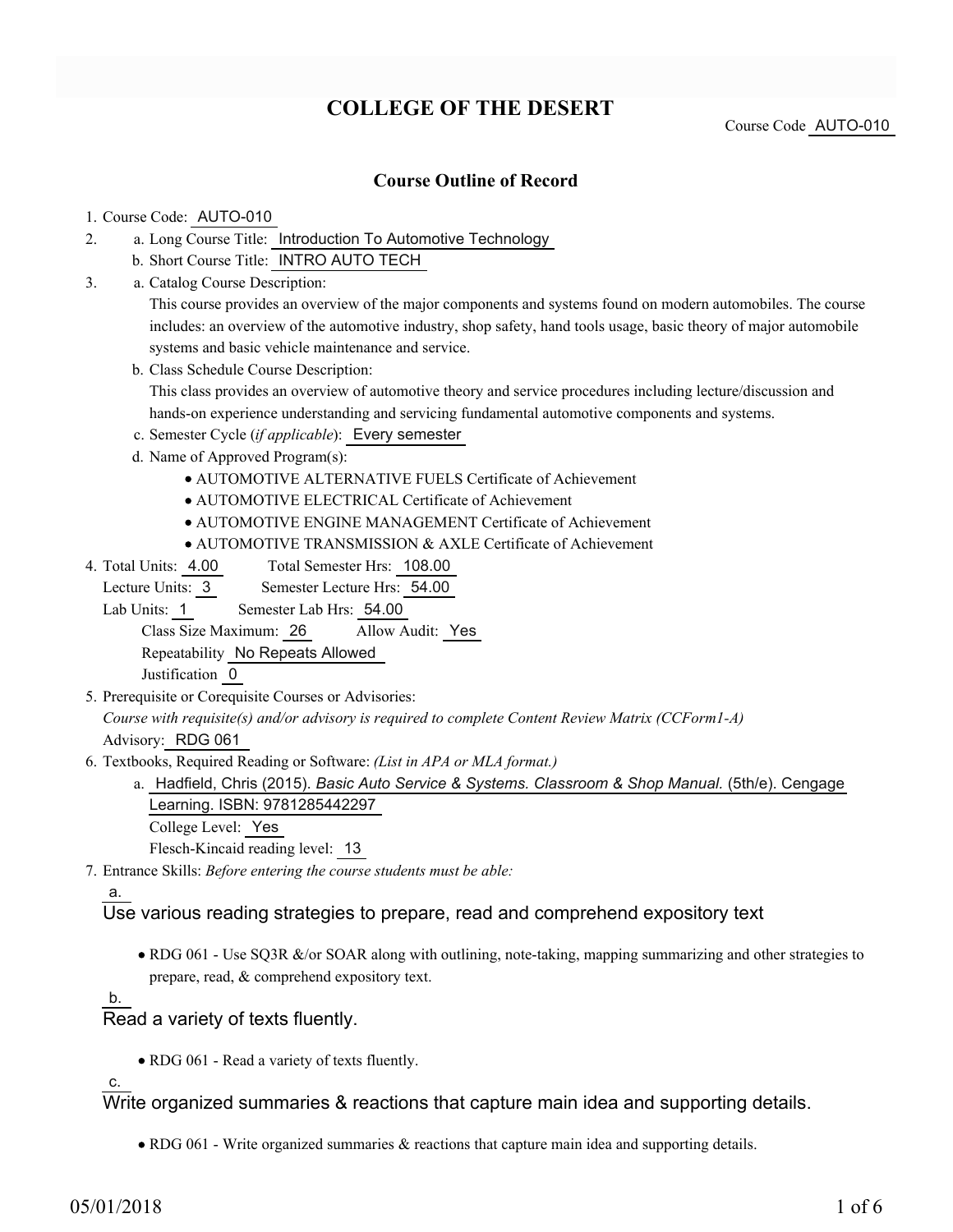# **COLLEGE OF THE DESERT**

Course Code AUTO-010

### **Course Outline of Record**

#### 1. Course Code: AUTO-010

- a. Long Course Title: Introduction To Automotive Technology 2.
	- b. Short Course Title: INTRO AUTO TECH
- Catalog Course Description: a. 3.

This course provides an overview of the major components and systems found on modern automobiles. The course includes: an overview of the automotive industry, shop safety, hand tools usage, basic theory of major automobile systems and basic vehicle maintenance and service.

b. Class Schedule Course Description:

This class provides an overview of automotive theory and service procedures including lecture/discussion and hands-on experience understanding and servicing fundamental automotive components and systems.

- c. Semester Cycle (*if applicable*): Every semester
- d. Name of Approved Program(s):
	- AUTOMOTIVE ALTERNATIVE FUELS Certificate of Achievement
	- AUTOMOTIVE ELECTRICAL Certificate of Achievement
	- AUTOMOTIVE ENGINE MANAGEMENT Certificate of Achievement
	- AUTOMOTIVE TRANSMISSION & AXLE Certificate of Achievement
- Total Semester Hrs: 108.00 4. Total Units: 4.00

Lecture Units: 3 Semester Lecture Hrs: 54.00

Lab Units: 1 Semester Lab Hrs: 54.00

Class Size Maximum: 26 Allow Audit: Yes

Repeatability No Repeats Allowed

Justification 0

5. Prerequisite or Corequisite Courses or Advisories:

*Course with requisite(s) and/or advisory is required to complete Content Review Matrix (CCForm1-A)* Advisory: RDG 061

Textbooks, Required Reading or Software: *(List in APA or MLA format.)* 6.

- a. Hadfield, Chris (2015). *Basic Auto Service & Systems. Classroom & Shop Manual.* (5th/e). Cengage Learning. ISBN: 9781285442297
	- College Level: Yes

Flesch-Kincaid reading level: 13

Entrance Skills: *Before entering the course students must be able:* 7.

#### a.

## Use various reading strategies to prepare, read and comprehend expository text

• RDG 061 - Use SQ3R &/or SOAR along with outlining, note-taking, mapping summarizing and other strategies to prepare, read, & comprehend expository text.

b.

Read a variety of texts fluently.

• RDG 061 - Read a variety of texts fluently.

c.

Write organized summaries & reactions that capture main idea and supporting details.

RDG 061 - Write organized summaries & reactions that capture main idea and supporting details.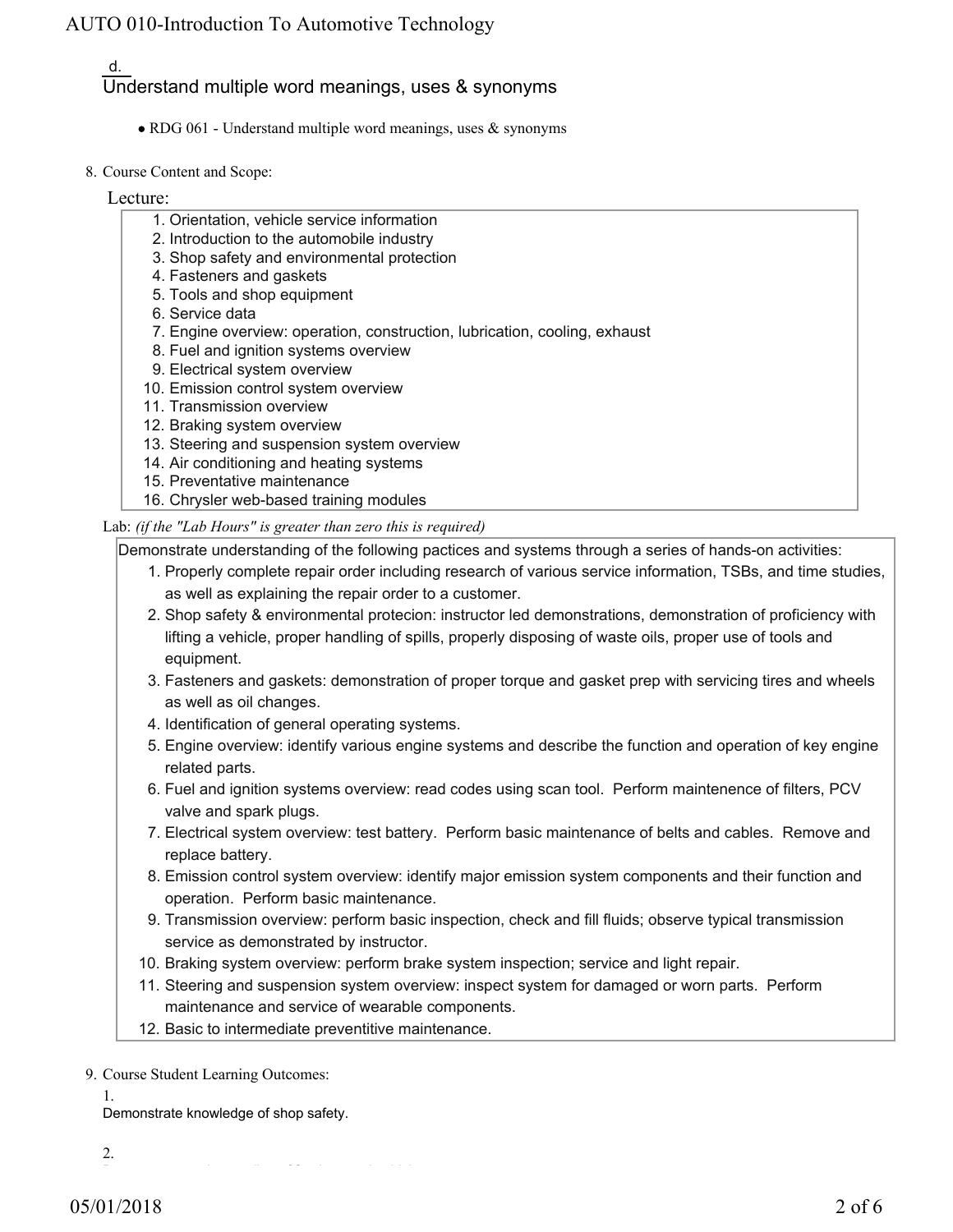#### d. Understand multiple word meanings, uses & synonyms

- RDG 061 Understand multiple word meanings, uses & synonyms
- 8. Course Content and Scope:

#### Lecture:

- 1. Orientation, vehicle service information
- 2. Introduction to the automobile industry
- 3. Shop safety and environmental protection
- 4. Fasteners and gaskets
- 5. Tools and shop equipment
- 6. Service data
- 7. Engine overview: operation, construction, lubrication, cooling, exhaust
- 8. Fuel and ignition systems overview
- 9. Electrical system overview
- 10. Emission control system overview
- 11. Transmission overview
- 12. Braking system overview
- 13. Steering and suspension system overview
- 14. Air conditioning and heating systems
- 15. Preventative maintenance
- 16. Chrysler web-based training modules

#### Lab: *(if the "Lab Hours" is greater than zero this is required)*

Demonstrate understanding of the following pactices and systems through a series of hands-on activities:

- 1. Properly complete repair order including research of various service information, TSBs, and time studies, as well as explaining the repair order to a customer.
- 2. Shop safety & environmental protecion: instructor led demonstrations, demonstration of proficiency with lifting a vehicle, proper handling of spills, properly disposing of waste oils, proper use of tools and equipment.
- Fasteners and gaskets: demonstration of proper torque and gasket prep with servicing tires and wheels 3. as well as oil changes.
- 4. Identification of general operating systems.
- Engine overview: identify various engine systems and describe the function and operation of key engine 5. related parts.
- 6. Fuel and ignition systems overview: read codes using scan tool. Perform maintenence of filters, PCV valve and spark plugs.
- Electrical system overview: test battery. Perform basic maintenance of belts and cables. Remove and 7. replace battery.
- Emission control system overview: identify major emission system components and their function and 8. operation. Perform basic maintenance.
- 9. Transmission overview: perform basic inspection, check and fill fluids; observe typical transmission service as demonstrated by instructor.
- 10. Braking system overview: perform brake system inspection; service and light repair.
- 11. Steering and suspension system overview: inspect system for damaged or worn parts. Perform maintenance and service of wearable components.
- 12. Basic to intermediate preventitive maintenance.

9. Course Student Learning Outcomes:

1.

Demonstrate knowledge of shop safety.

2.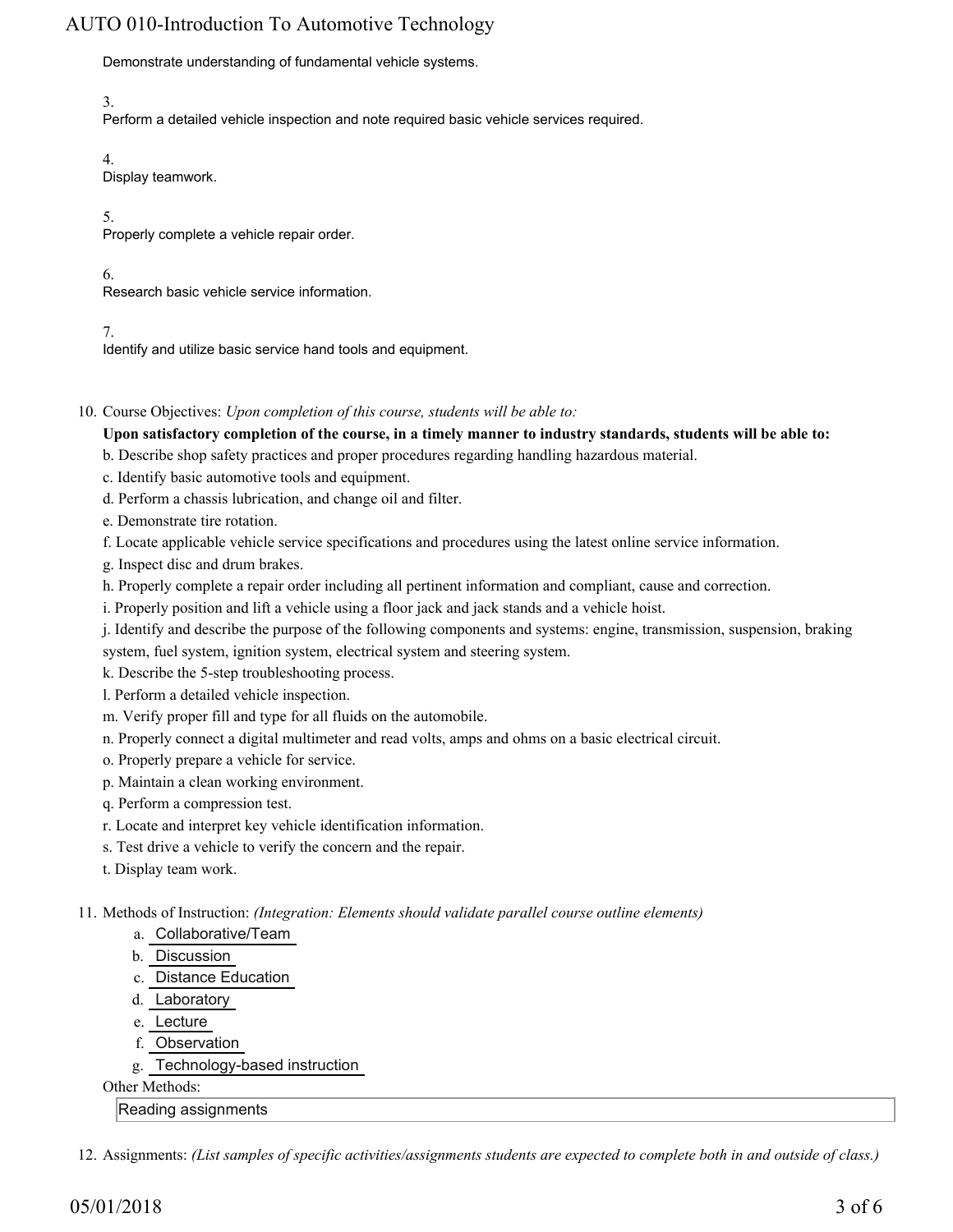Demonstrate understanding of fundamental vehicle systems.

3.

Perform a detailed vehicle inspection and note required basic vehicle services required.

4.

Display teamwork.

5.

Properly complete a vehicle repair order.

6.

Research basic vehicle service information.

7.

Identify and utilize basic service hand tools and equipment.

10. Course Objectives: Upon completion of this course, students will be able to:

**Upon satisfactory completion of the course, in a timely manner to industry standards, students will be able to:**

b. Describe shop safety practices and proper procedures regarding handling hazardous material.

c. Identify basic automotive tools and equipment.

d. Perform a chassis lubrication, and change oil and filter.

e. Demonstrate tire rotation.

f. Locate applicable vehicle service specifications and procedures using the latest online service information.

- g. Inspect disc and drum brakes.
- h. Properly complete a repair order including all pertinent information and compliant, cause and correction.

i. Properly position and lift a vehicle using a floor jack and jack stands and a vehicle hoist.

j. Identify and describe the purpose of the following components and systems: engine, transmission, suspension, braking system, fuel system, ignition system, electrical system and steering system.

k. Describe the 5-step troubleshooting process.

l. Perform a detailed vehicle inspection.

m. Verify proper fill and type for all fluids on the automobile.

n. Properly connect a digital multimeter and read volts, amps and ohms on a basic electrical circuit.

- o. Properly prepare a vehicle for service.
- p. Maintain a clean working environment.
- q. Perform a compression test.
- r. Locate and interpret key vehicle identification information.
- s. Test drive a vehicle to verify the concern and the repair.
- t. Display team work.

Methods of Instruction: *(Integration: Elements should validate parallel course outline elements)* 11.

#### a. Collaborative/Team

- b. Discussion
- c. Distance Education
- d. Laboratory
- e. Lecture
- f. Observation
- g. Technology-based instruction

Other Methods:

Reading assignments

12. Assignments: *(List samples of specific activities/assignments students are expected to complete both in and outside of class.)*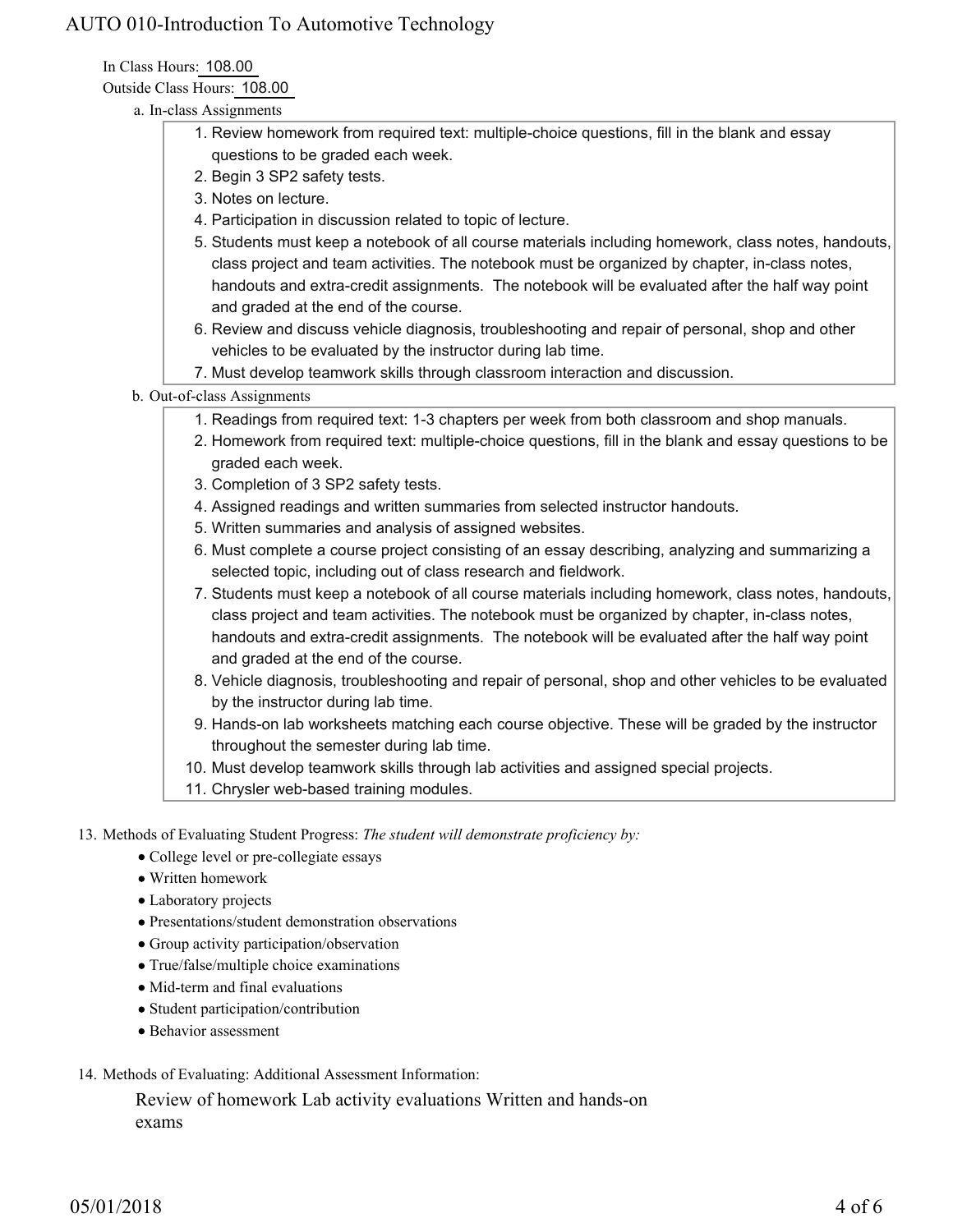In Class Hours: 108.00

Outside Class Hours: 108.00

- a. In-class Assignments
	- 1. Review homework from required text: multiple-choice questions, fill in the blank and essay questions to be graded each week.
	- 2. Begin 3 SP2 safety tests.
	- 3. Notes on lecture.
	- 4. Participation in discussion related to topic of lecture.
	- 5. Students must keep a notebook of all course materials including homework, class notes, handouts, class project and team activities. The notebook must be organized by chapter, in-class notes, handouts and extra-credit assignments. The notebook will be evaluated after the half way point and graded at the end of the course.
	- 6. Review and discuss vehicle diagnosis, troubleshooting and repair of personal, shop and other vehicles to be evaluated by the instructor during lab time.
	- 7. Must develop teamwork skills through classroom interaction and discussion.

#### b. Out-of-class Assignments

- 1. Readings from required text: 1-3 chapters per week from both classroom and shop manuals.
- 2. Homework from required text: multiple-choice questions, fill in the blank and essay questions to be graded each week.
- 3. Completion of 3 SP2 safety tests.
- 4. Assigned readings and written summaries from selected instructor handouts.
- 5. Written summaries and analysis of assigned websites.
- 6. Must complete a course project consisting of an essay describing, analyzing and summarizing a selected topic, including out of class research and fieldwork.
- 7. Students must keep a notebook of all course materials including homework, class notes, handouts, class project and team activities. The notebook must be organized by chapter, in-class notes, handouts and extra-credit assignments. The notebook will be evaluated after the half way point and graded at the end of the course.
- 8. Vehicle diagnosis, troubleshooting and repair of personal, shop and other vehicles to be evaluated by the instructor during lab time.
- 9. Hands-on lab worksheets matching each course objective. These will be graded by the instructor throughout the semester during lab time.
- 10. Must develop teamwork skills through lab activities and assigned special projects.
- 11. Chrysler web-based training modules.

13. Methods of Evaluating Student Progress: The student will demonstrate proficiency by:

- College level or pre-collegiate essays
- Written homework
- Laboratory projects
- Presentations/student demonstration observations
- Group activity participation/observation
- True/false/multiple choice examinations
- Mid-term and final evaluations
- Student participation/contribution
- Behavior assessment
- 14. Methods of Evaluating: Additional Assessment Information:

Review of homework Lab activity evaluations Written and hands-on exams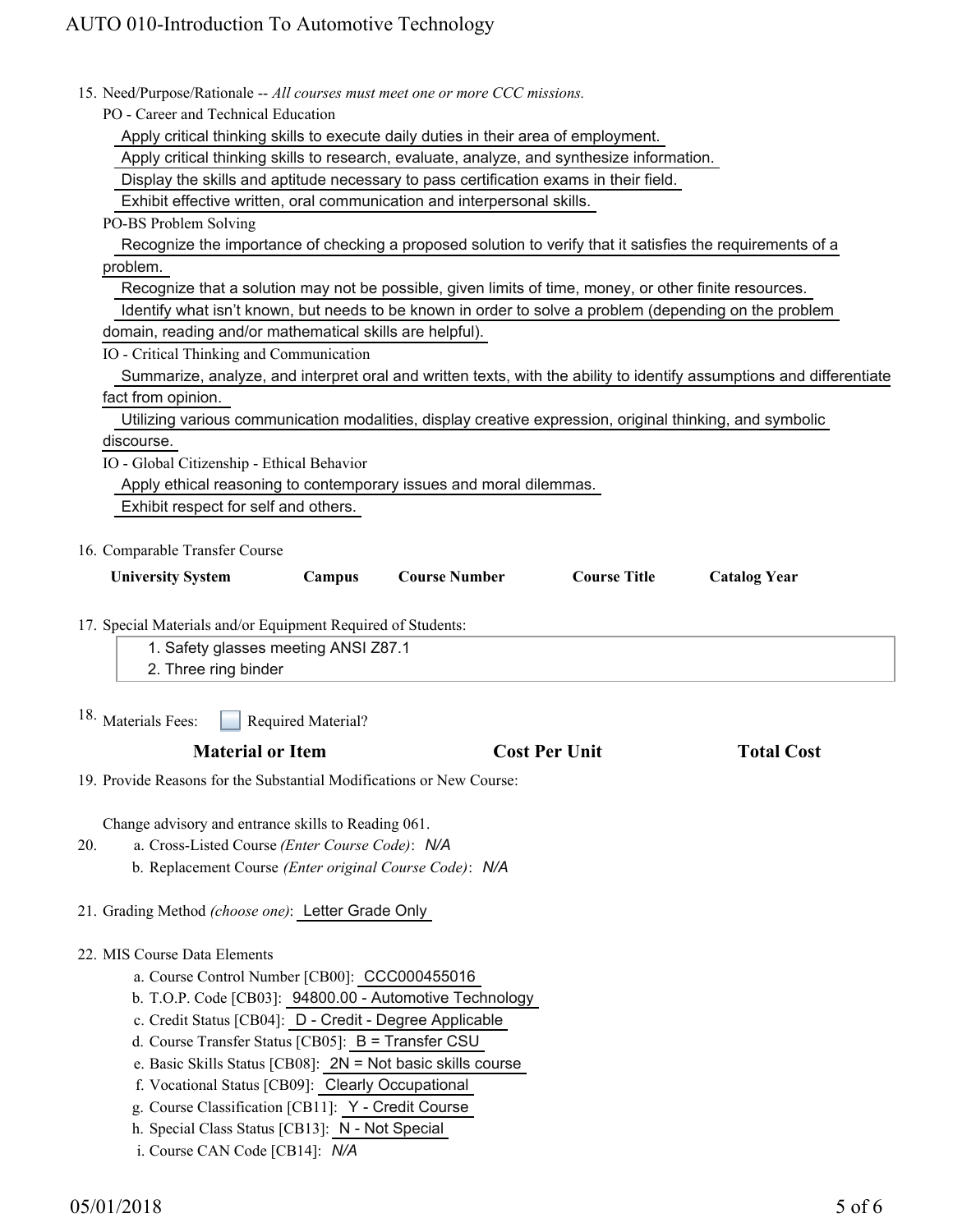| 15. Need/Purpose/Rationale -- All courses must meet one or more CCC missions.                                                              |  |
|--------------------------------------------------------------------------------------------------------------------------------------------|--|
| PO - Career and Technical Education                                                                                                        |  |
| Apply critical thinking skills to execute daily duties in their area of employment.                                                        |  |
| Apply critical thinking skills to research, evaluate, analyze, and synthesize information.                                                 |  |
| Display the skills and aptitude necessary to pass certification exams in their field.                                                      |  |
| Exhibit effective written, oral communication and interpersonal skills.                                                                    |  |
| PO-BS Problem Solving                                                                                                                      |  |
| Recognize the importance of checking a proposed solution to verify that it satisfies the requirements of a                                 |  |
| problem.                                                                                                                                   |  |
| Recognize that a solution may not be possible, given limits of time, money, or other finite resources.                                     |  |
| Identify what isn't known, but needs to be known in order to solve a problem (depending on the problem                                     |  |
| domain, reading and/or mathematical skills are helpful).                                                                                   |  |
| IO - Critical Thinking and Communication                                                                                                   |  |
| Summarize, analyze, and interpret oral and written texts, with the ability to identify assumptions and differentiate                       |  |
| fact from opinion.                                                                                                                         |  |
| Utilizing various communication modalities, display creative expression, original thinking, and symbolic                                   |  |
| discourse.                                                                                                                                 |  |
| IO - Global Citizenship - Ethical Behavior                                                                                                 |  |
| Apply ethical reasoning to contemporary issues and moral dilemmas.                                                                         |  |
| Exhibit respect for self and others.                                                                                                       |  |
|                                                                                                                                            |  |
| 16. Comparable Transfer Course<br>Campus<br><b>Course Number</b><br><b>Course Title</b><br><b>University System</b><br><b>Catalog Year</b> |  |
|                                                                                                                                            |  |
| 17. Special Materials and/or Equipment Required of Students:                                                                               |  |
| 1. Safety glasses meeting ANSI Z87.1                                                                                                       |  |
| 2. Three ring binder                                                                                                                       |  |
|                                                                                                                                            |  |
| 18. Materials Fees:<br>Required Material?                                                                                                  |  |
| <b>Material or Item</b><br><b>Cost Per Unit</b><br><b>Total Cost</b>                                                                       |  |
| 19. Provide Reasons for the Substantial Modifications or New Course:                                                                       |  |
|                                                                                                                                            |  |
| Change advisory and entrance skills to Reading 061.                                                                                        |  |
| a. Cross-Listed Course (Enter Course Code): N/A<br>20.                                                                                     |  |
| b. Replacement Course (Enter original Course Code): N/A                                                                                    |  |
| 21. Grading Method (choose one): Letter Grade Only                                                                                         |  |
| 22. MIS Course Data Elements                                                                                                               |  |
| a. Course Control Number [CB00]: CCC000455016                                                                                              |  |
| b. T.O.P. Code [CB03]: 94800.00 - Automotive Technology                                                                                    |  |
| c. Credit Status [CB04]: D - Credit - Degree Applicable                                                                                    |  |
| d. Course Transfer Status [CB05]: B = Transfer CSU                                                                                         |  |
|                                                                                                                                            |  |
|                                                                                                                                            |  |
| e. Basic Skills Status [CB08]: 2N = Not basic skills course                                                                                |  |
| f. Vocational Status [CB09]: Clearly Occupational                                                                                          |  |
| g. Course Classification [CB11]: Y - Credit Course<br>h. Special Class Status [CB13]: N - Not Special                                      |  |